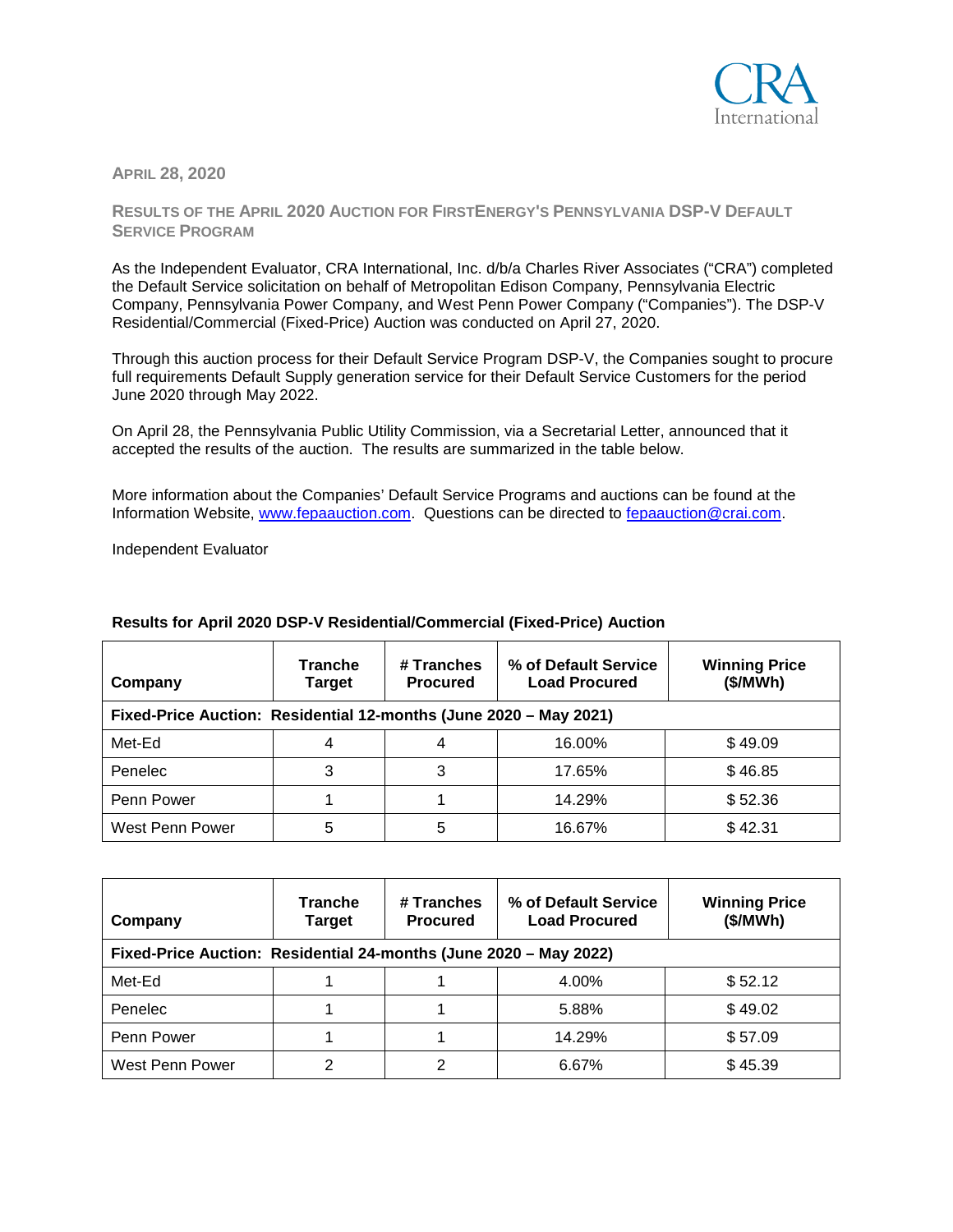

**APRIL 28, 2020**

## **RESULTS OF THE APRIL 2020 AUCTION FOR FIRSTENERGY'S PENNSYLVANIA DSP-V DEFAULT SERVICE PROGRAM**

As the Independent Evaluator, CRA International, Inc. d/b/a Charles River Associates ("CRA") completed the Default Service solicitation on behalf of Metropolitan Edison Company, Pennsylvania Electric Company, Pennsylvania Power Company, and West Penn Power Company ("Companies"). The DSP-V Residential/Commercial (Fixed-Price) Auction was conducted on April 27, 2020.

Through this auction process for their Default Service Program DSP-V, the Companies sought to procure full requirements Default Supply generation service for their Default Service Customers for the period June 2020 through May 2022.

On April 28, the Pennsylvania Public Utility Commission, via a Secretarial Letter, announced that it accepted the results of the auction. The results are summarized in the table below.

More information about the Companies' Default Service Programs and auctions can be found at the Information Website, [www.fepaauction.com.](http://www.fepaauction.com/) Questions can be directed to [fepaauction@crai.com.](mailto:fepaauction@crai.com)

Independent Evaluator

| Company                                                           | <b>Tranche</b><br>Target | # Tranches<br><b>Procured</b> | % of Default Service<br><b>Load Procured</b> | <b>Winning Price</b><br>(\$/MWh) |
|-------------------------------------------------------------------|--------------------------|-------------------------------|----------------------------------------------|----------------------------------|
| Fixed-Price Auction: Residential 12-months (June 2020 - May 2021) |                          |                               |                                              |                                  |
| Met-Ed                                                            |                          | 4                             | 16.00%                                       | \$49.09                          |
| Penelec                                                           | 3                        | 3                             | 17.65%                                       | \$46.85                          |
| Penn Power                                                        |                          |                               | 14.29%                                       | \$52.36                          |
| West Penn Power                                                   | 5                        | 5                             | 16.67%                                       | \$42.31                          |

## **Results for April 2020 DSP-V Residential/Commercial (Fixed-Price) Auction**

| Company                                                           | <b>Tranche</b><br><b>Target</b> | # Tranches<br><b>Procured</b> | % of Default Service<br><b>Load Procured</b> | <b>Winning Price</b><br>(\$/MWh) |  |
|-------------------------------------------------------------------|---------------------------------|-------------------------------|----------------------------------------------|----------------------------------|--|
| Fixed-Price Auction: Residential 24-months (June 2020 - May 2022) |                                 |                               |                                              |                                  |  |
| Met-Ed                                                            |                                 |                               | 4.00%                                        | \$52.12                          |  |
| Penelec                                                           |                                 |                               | 5.88%                                        | \$49.02                          |  |
| Penn Power                                                        |                                 |                               | 14.29%                                       | \$57.09                          |  |
| West Penn Power                                                   | っ                               | 2                             | 6.67%                                        | \$45.39                          |  |